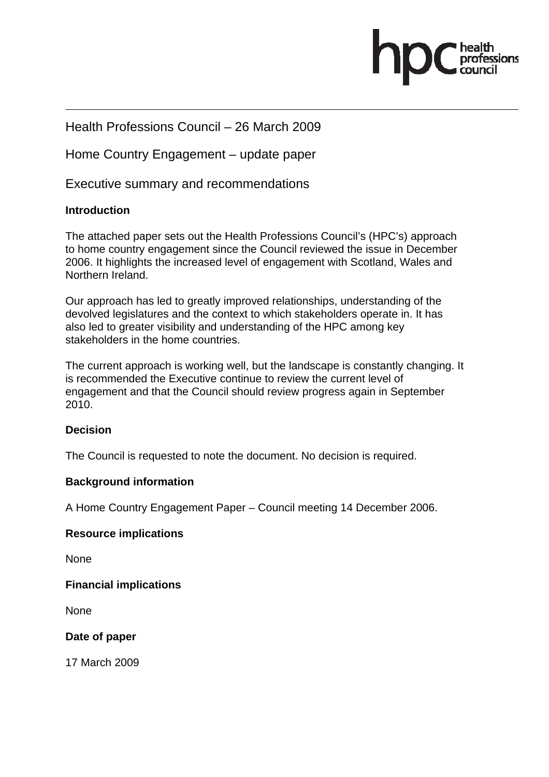

# Health Professions Council – 26 March 2009

Home Country Engagement – update paper

Executive summary and recommendations

#### **Introduction**

The attached paper sets out the Health Professions Council's (HPC's) approach to home country engagement since the Council reviewed the issue in December 2006. It highlights the increased level of engagement with Scotland, Wales and Northern Ireland.

Our approach has led to greatly improved relationships, understanding of the devolved legislatures and the context to which stakeholders operate in. It has also led to greater visibility and understanding of the HPC among key stakeholders in the home countries.

The current approach is working well, but the landscape is constantly changing. It is recommended the Executive continue to review the current level of engagement and that the Council should review progress again in September 2010.

#### **Decision**

The Council is requested to note the document. No decision is required.

#### **Background information**

A Home Country Engagement Paper – Council meeting 14 December 2006.

#### **Resource implications**

None

**Financial implications** 

None

**Date of paper** 

17 March 2009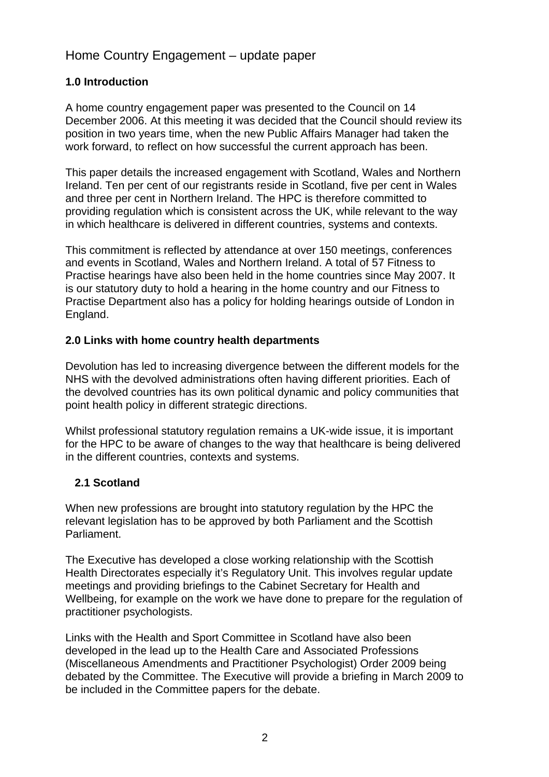# Home Country Engagement – update paper

# **1.0 Introduction**

A home country engagement paper was presented to the Council on 14 December 2006. At this meeting it was decided that the Council should review its position in two years time, when the new Public Affairs Manager had taken the work forward, to reflect on how successful the current approach has been.

This paper details the increased engagement with Scotland, Wales and Northern Ireland. Ten per cent of our registrants reside in Scotland, five per cent in Wales and three per cent in Northern Ireland. The HPC is therefore committed to providing regulation which is consistent across the UK, while relevant to the way in which healthcare is delivered in different countries, systems and contexts.

This commitment is reflected by attendance at over 150 meetings, conferences and events in Scotland, Wales and Northern Ireland. A total of 57 Fitness to Practise hearings have also been held in the home countries since May 2007. It is our statutory duty to hold a hearing in the home country and our Fitness to Practise Department also has a policy for holding hearings outside of London in England.

### **2.0 Links with home country health departments**

Devolution has led to increasing divergence between the different models for the NHS with the devolved administrations often having different priorities. Each of the devolved countries has its own political dynamic and policy communities that point health policy in different strategic directions.

Whilst professional statutory regulation remains a UK-wide issue, it is important for the HPC to be aware of changes to the way that healthcare is being delivered in the different countries, contexts and systems.

### **2.1 Scotland**

When new professions are brought into statutory regulation by the HPC the relevant legislation has to be approved by both Parliament and the Scottish Parliament.

The Executive has developed a close working relationship with the Scottish Health Directorates especially it's Regulatory Unit. This involves regular update meetings and providing briefings to the Cabinet Secretary for Health and Wellbeing, for example on the work we have done to prepare for the regulation of practitioner psychologists.

Links with the Health and Sport Committee in Scotland have also been developed in the lead up to the Health Care and Associated Professions (Miscellaneous Amendments and Practitioner Psychologist) Order 2009 being debated by the Committee. The Executive will provide a briefing in March 2009 to be included in the Committee papers for the debate.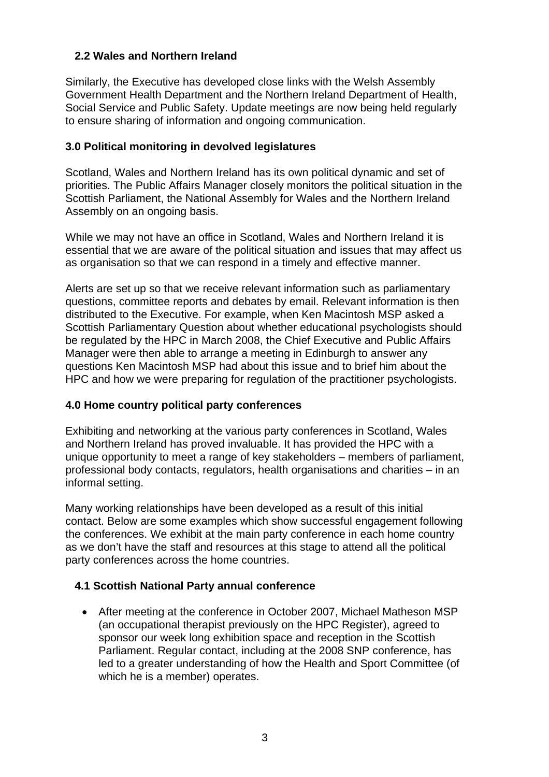### **2.2 Wales and Northern Ireland**

Similarly, the Executive has developed close links with the Welsh Assembly Government Health Department and the Northern Ireland Department of Health, Social Service and Public Safety. Update meetings are now being held regularly to ensure sharing of information and ongoing communication.

#### **3.0 Political monitoring in devolved legislatures**

Scotland, Wales and Northern Ireland has its own political dynamic and set of priorities. The Public Affairs Manager closely monitors the political situation in the Scottish Parliament, the National Assembly for Wales and the Northern Ireland Assembly on an ongoing basis.

While we may not have an office in Scotland, Wales and Northern Ireland it is essential that we are aware of the political situation and issues that may affect us as organisation so that we can respond in a timely and effective manner.

Alerts are set up so that we receive relevant information such as parliamentary questions, committee reports and debates by email. Relevant information is then distributed to the Executive. For example, when Ken Macintosh MSP asked a Scottish Parliamentary Question about whether educational psychologists should be regulated by the HPC in March 2008, the Chief Executive and Public Affairs Manager were then able to arrange a meeting in Edinburgh to answer any questions Ken Macintosh MSP had about this issue and to brief him about the HPC and how we were preparing for regulation of the practitioner psychologists.

#### **4.0 Home country political party conferences**

Exhibiting and networking at the various party conferences in Scotland, Wales and Northern Ireland has proved invaluable. It has provided the HPC with a unique opportunity to meet a range of key stakeholders – members of parliament, professional body contacts, regulators, health organisations and charities – in an informal setting.

Many working relationships have been developed as a result of this initial contact. Below are some examples which show successful engagement following the conferences. We exhibit at the main party conference in each home country as we don't have the staff and resources at this stage to attend all the political party conferences across the home countries.

#### **4.1 Scottish National Party annual conference**

• After meeting at the conference in October 2007, Michael Matheson MSP (an occupational therapist previously on the HPC Register), agreed to sponsor our week long exhibition space and reception in the Scottish Parliament. Regular contact, including at the 2008 SNP conference, has led to a greater understanding of how the Health and Sport Committee (of which he is a member) operates.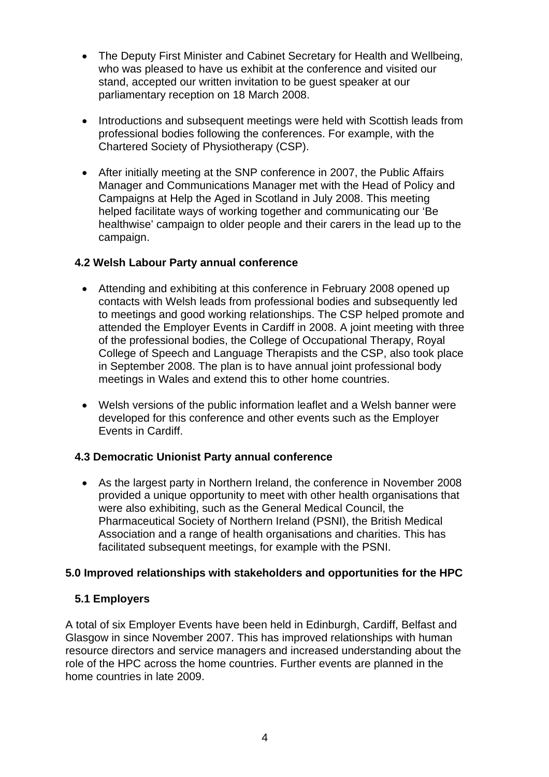- The Deputy First Minister and Cabinet Secretary for Health and Wellbeing, who was pleased to have us exhibit at the conference and visited our stand, accepted our written invitation to be guest speaker at our parliamentary reception on 18 March 2008.
- Introductions and subsequent meetings were held with Scottish leads from professional bodies following the conferences. For example, with the Chartered Society of Physiotherapy (CSP).
- After initially meeting at the SNP conference in 2007, the Public Affairs Manager and Communications Manager met with the Head of Policy and Campaigns at Help the Aged in Scotland in July 2008. This meeting helped facilitate ways of working together and communicating our 'Be healthwise' campaign to older people and their carers in the lead up to the campaign.

### **4.2 Welsh Labour Party annual conference**

- Attending and exhibiting at this conference in February 2008 opened up contacts with Welsh leads from professional bodies and subsequently led to meetings and good working relationships. The CSP helped promote and attended the Employer Events in Cardiff in 2008. A joint meeting with three of the professional bodies, the College of Occupational Therapy, Royal College of Speech and Language Therapists and the CSP, also took place in September 2008. The plan is to have annual joint professional body meetings in Wales and extend this to other home countries.
- Welsh versions of the public information leaflet and a Welsh banner were developed for this conference and other events such as the Employer Events in Cardiff.

### **4.3 Democratic Unionist Party annual conference**

• As the largest party in Northern Ireland, the conference in November 2008 provided a unique opportunity to meet with other health organisations that were also exhibiting, such as the General Medical Council, the Pharmaceutical Society of Northern Ireland (PSNI), the British Medical Association and a range of health organisations and charities. This has facilitated subsequent meetings, for example with the PSNI.

### **5.0 Improved relationships with stakeholders and opportunities for the HPC**

### **5.1 Employers**

A total of six Employer Events have been held in Edinburgh, Cardiff, Belfast and Glasgow in since November 2007. This has improved relationships with human resource directors and service managers and increased understanding about the role of the HPC across the home countries. Further events are planned in the home countries in late 2009.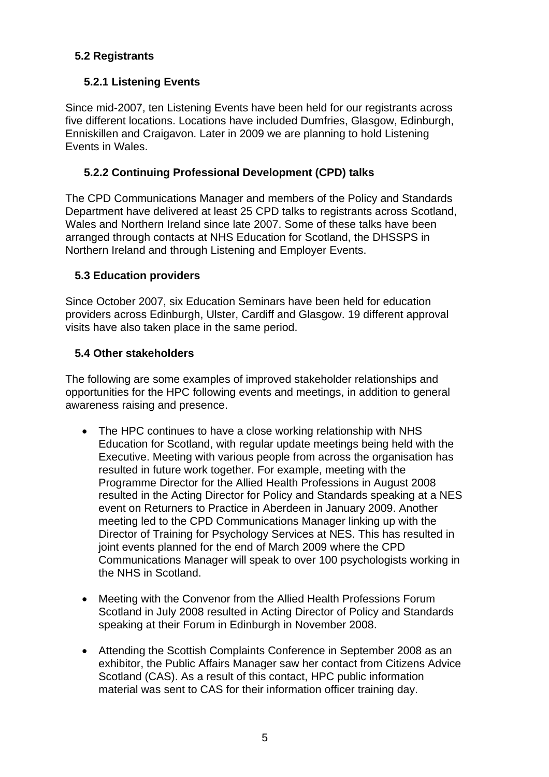# **5.2 Registrants**

# **5.2.1 Listening Events**

Since mid-2007, ten Listening Events have been held for our registrants across five different locations. Locations have included Dumfries, Glasgow, Edinburgh, Enniskillen and Craigavon. Later in 2009 we are planning to hold Listening Events in Wales.

## **5.2.2 Continuing Professional Development (CPD) talks**

The CPD Communications Manager and members of the Policy and Standards Department have delivered at least 25 CPD talks to registrants across Scotland, Wales and Northern Ireland since late 2007. Some of these talks have been arranged through contacts at NHS Education for Scotland, the DHSSPS in Northern Ireland and through Listening and Employer Events.

### **5.3 Education providers**

Since October 2007, six Education Seminars have been held for education providers across Edinburgh, Ulster, Cardiff and Glasgow. 19 different approval visits have also taken place in the same period.

### **5.4 Other stakeholders**

The following are some examples of improved stakeholder relationships and opportunities for the HPC following events and meetings, in addition to general awareness raising and presence.

- The HPC continues to have a close working relationship with NHS Education for Scotland, with regular update meetings being held with the Executive. Meeting with various people from across the organisation has resulted in future work together. For example, meeting with the Programme Director for the Allied Health Professions in August 2008 resulted in the Acting Director for Policy and Standards speaking at a NES event on Returners to Practice in Aberdeen in January 2009. Another meeting led to the CPD Communications Manager linking up with the Director of Training for Psychology Services at NES. This has resulted in joint events planned for the end of March 2009 where the CPD Communications Manager will speak to over 100 psychologists working in the NHS in Scotland.
- Meeting with the Convenor from the Allied Health Professions Forum Scotland in July 2008 resulted in Acting Director of Policy and Standards speaking at their Forum in Edinburgh in November 2008.
- Attending the Scottish Complaints Conference in September 2008 as an exhibitor, the Public Affairs Manager saw her contact from Citizens Advice Scotland (CAS). As a result of this contact, HPC public information material was sent to CAS for their information officer training day.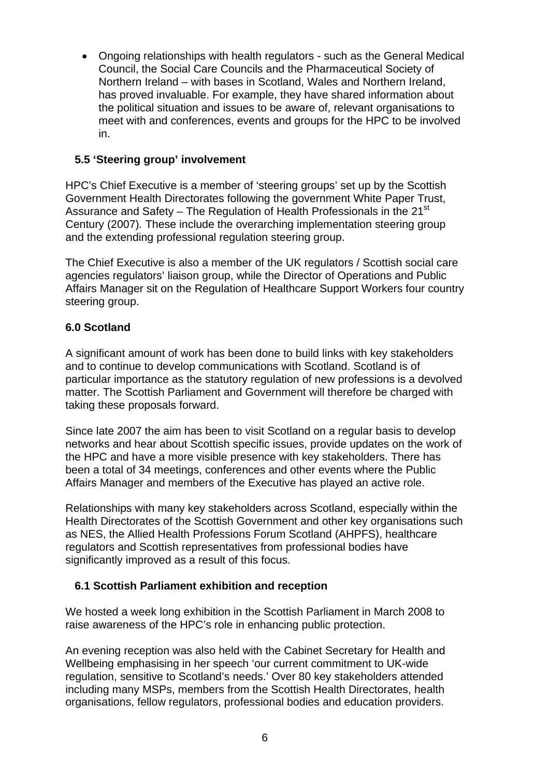• Ongoing relationships with health regulators - such as the General Medical Council, the Social Care Councils and the Pharmaceutical Society of Northern Ireland – with bases in Scotland, Wales and Northern Ireland, has proved invaluable. For example, they have shared information about the political situation and issues to be aware of, relevant organisations to meet with and conferences, events and groups for the HPC to be involved in.

## **5.5 'Steering group' involvement**

HPC's Chief Executive is a member of 'steering groups' set up by the Scottish Government Health Directorates following the government White Paper Trust, Assurance and Safety – The Regulation of Health Professionals in the  $21<sup>st</sup>$ Century (2007)*.* These include the overarching implementation steering group and the extending professional regulation steering group.

The Chief Executive is also a member of the UK regulators / Scottish social care agencies regulators' liaison group, while the Director of Operations and Public Affairs Manager sit on the Regulation of Healthcare Support Workers four country steering group.

# **6.0 Scotland**

A significant amount of work has been done to build links with key stakeholders and to continue to develop communications with Scotland. Scotland is of particular importance as the statutory regulation of new professions is a devolved matter. The Scottish Parliament and Government will therefore be charged with taking these proposals forward.

Since late 2007 the aim has been to visit Scotland on a regular basis to develop networks and hear about Scottish specific issues, provide updates on the work of the HPC and have a more visible presence with key stakeholders. There has been a total of 34 meetings, conferences and other events where the Public Affairs Manager and members of the Executive has played an active role.

Relationships with many key stakeholders across Scotland, especially within the Health Directorates of the Scottish Government and other key organisations such as NES, the Allied Health Professions Forum Scotland (AHPFS), healthcare regulators and Scottish representatives from professional bodies have significantly improved as a result of this focus.

### **6.1 Scottish Parliament exhibition and reception**

We hosted a week long exhibition in the Scottish Parliament in March 2008 to raise awareness of the HPC's role in enhancing public protection.

An evening reception was also held with the Cabinet Secretary for Health and Wellbeing emphasising in her speech 'our current commitment to UK-wide regulation, sensitive to Scotland's needs.' Over 80 key stakeholders attended including many MSPs, members from the Scottish Health Directorates, health organisations, fellow regulators, professional bodies and education providers.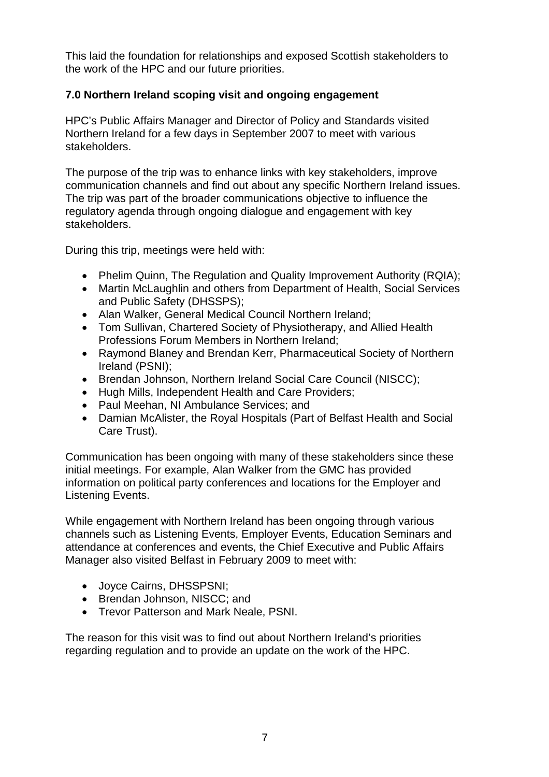This laid the foundation for relationships and exposed Scottish stakeholders to the work of the HPC and our future priorities.

## **7.0 Northern Ireland scoping visit and ongoing engagement**

HPC's Public Affairs Manager and Director of Policy and Standards visited Northern Ireland for a few days in September 2007 to meet with various stakeholders.

The purpose of the trip was to enhance links with key stakeholders, improve communication channels and find out about any specific Northern Ireland issues. The trip was part of the broader communications objective to influence the regulatory agenda through ongoing dialogue and engagement with key stakeholders.

During this trip, meetings were held with:

- Phelim Quinn, The Regulation and Quality Improvement Authority (RQIA);
- Martin McLaughlin and others from Department of Health, Social Services and Public Safety (DHSSPS);
- Alan Walker, General Medical Council Northern Ireland;
- Tom Sullivan, Chartered Society of Physiotherapy, and Allied Health Professions Forum Members in Northern Ireland;
- Raymond Blaney and Brendan Kerr, Pharmaceutical Society of Northern Ireland (PSNI);
- Brendan Johnson, Northern Ireland Social Care Council (NISCC);
- Hugh Mills, Independent Health and Care Providers;
- Paul Meehan, NI Ambulance Services; and
- Damian McAlister, the Royal Hospitals (Part of Belfast Health and Social Care Trust).

Communication has been ongoing with many of these stakeholders since these initial meetings. For example, Alan Walker from the GMC has provided information on political party conferences and locations for the Employer and Listening Events.

While engagement with Northern Ireland has been ongoing through various channels such as Listening Events, Employer Events, Education Seminars and attendance at conferences and events, the Chief Executive and Public Affairs Manager also visited Belfast in February 2009 to meet with:

- Joyce Cairns, DHSSPSNI;
- Brendan Johnson, NISCC; and
- Trevor Patterson and Mark Neale, PSNI.

The reason for this visit was to find out about Northern Ireland's priorities regarding regulation and to provide an update on the work of the HPC.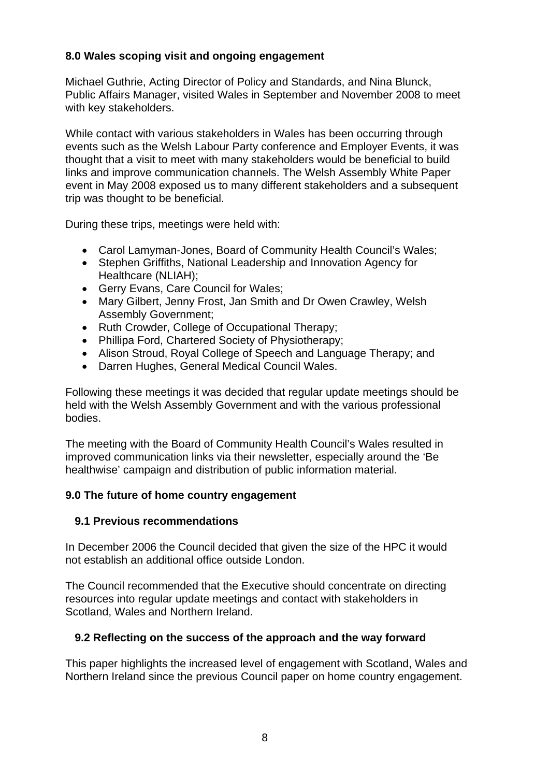### **8.0 Wales scoping visit and ongoing engagement**

Michael Guthrie, Acting Director of Policy and Standards, and Nina Blunck, Public Affairs Manager, visited Wales in September and November 2008 to meet with key stakeholders.

While contact with various stakeholders in Wales has been occurring through events such as the Welsh Labour Party conference and Employer Events, it was thought that a visit to meet with many stakeholders would be beneficial to build links and improve communication channels. The Welsh Assembly White Paper event in May 2008 exposed us to many different stakeholders and a subsequent trip was thought to be beneficial.

During these trips, meetings were held with:

- Carol Lamyman-Jones, Board of Community Health Council's Wales;
- Stephen Griffiths, National Leadership and Innovation Agency for Healthcare (NLIAH);
- Gerry Evans, Care Council for Wales;
- Mary Gilbert, Jenny Frost, Jan Smith and Dr Owen Crawley, Welsh Assembly Government;
- Ruth Crowder, College of Occupational Therapy;
- Phillipa Ford, Chartered Society of Physiotherapy;
- Alison Stroud, Royal College of Speech and Language Therapy; and
- Darren Hughes, General Medical Council Wales.

Following these meetings it was decided that regular update meetings should be held with the Welsh Assembly Government and with the various professional bodies.

The meeting with the Board of Community Health Council's Wales resulted in improved communication links via their newsletter, especially around the 'Be healthwise' campaign and distribution of public information material.

### **9.0 The future of home country engagement**

### **9.1 Previous recommendations**

In December 2006 the Council decided that given the size of the HPC it would not establish an additional office outside London.

The Council recommended that the Executive should concentrate on directing resources into regular update meetings and contact with stakeholders in Scotland, Wales and Northern Ireland.

### **9.2 Reflecting on the success of the approach and the way forward**

This paper highlights the increased level of engagement with Scotland, Wales and Northern Ireland since the previous Council paper on home country engagement.